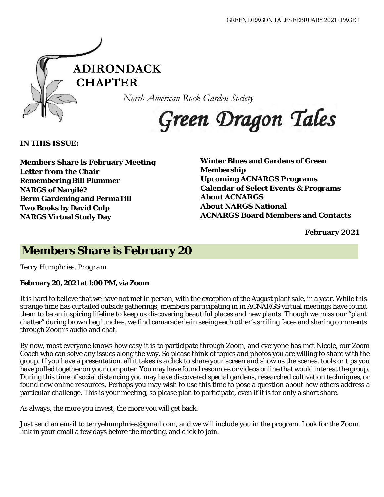

*North American Rock Garden Society*

Green Dragon Tales

**IN THIS ISSUE:**

**Members Share is February Meeting Letter from the Chair Remembering Bill Plummer NARGS of Nargilé? Berm Gardening and PermaTill Two Books by David Culp NARGS Virtual Study Day**

**Winter Blues and Gardens of Green Membership Upcoming ACNARGS Programs Calendar of Select Events & Programs About ACNARGS About NARGS National ACNARGS Board Members and Contacts**

**February 2021**

### **Members Share is February 20**

*Terry Humphries, Program*

### **February 20, 2021 at 1:00 PM, via Zoom**

It is hard to believe that we have not met in person, with the exception of the August plant sale, in a year. While this strange time has curtailed outside gatherings, members participating in in ACNARGS virtual meetings have found them to be an inspiring lifeline to keep us discovering beautiful places and new plants. Though we miss our "plant chatter" during brown bag lunches, we find camaraderie in seeing each other's smiling faces and sharing comments through Zoom's audio and chat.

By now, most everyone knows how easy it is to participate through Zoom, and everyone has met Nicole, our Zoom Coach who can solve any issues along the way. So please think of topics and photos you are willing to share with the group. If you have a presentation, all it takes is a click to share your screen and show us the scenes, tools or tips you have pulled together on your computer. You may have found resources or videos online that would interest the group. During this time of social distancing you may have discovered special gardens, researched cultivation techniques, or found new online resources. Perhaps you may wish to use this time to pose a question about how others address a particular challenge. This is your meeting, so please plan to participate, even if it is for only a short share.

As always, the more you invest, the more you will get back.

Just send an email to terryehumphries@gmail.com, and we will include you in the program. Look for the Zoom link in your email a few days before the meeting, and click to join.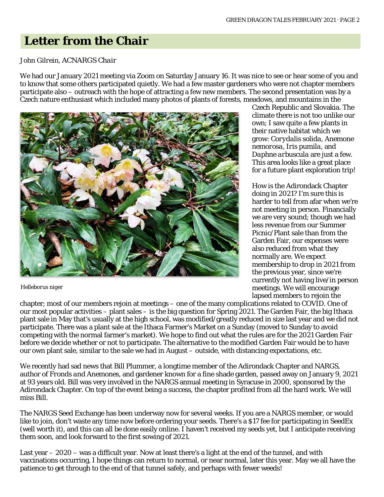# **Letter from the Chair**

#### *John Gilrein, ACNARGS Chair*

We had our January 2021 meeting via Zoom on Saturday January 16. It was nice to see or hear some of you and to know that some others participated quietly. We had a few master gardeners who were not chapter members participate also – outreach with the hope of attracting a few new members. The second presentation was by a Czech nature enthusiast which included many photos of plants of forests, meadows, and mountains in the



 *Helleborus niger*

Czech Republic and Slovakia. The climate there is not too unlike our own; I saw quite a few plants in their native habitat which we grow: *Corydalis solida, Anemone nemorosa, Iris pumila,* and *Daphne arbuscula* are just a few. This area looks like a great place for a future plant exploration trip!

How is the Adirondack Chapter doing in 2021? I'm sure this is harder to tell from afar when we're not meeting in person. Financially we are very sound; though we had less revenue from our Summer Picnic/Plant sale than from the Garden Fair, our expenses were also reduced from what they normally are. We expect membership to drop in 2021 from the previous year, since we're currently not having live/in person meetings. We will encourage lapsed members to rejoin the

chapter; most of our members rejoin at meetings – one of the many complications related to COVID. One of our most popular activities – plant sales – is the big question for Spring 2021. The Garden Fair, the big Ithaca plant sale in May that's usually at the high school, was modified/greatly reduced in size last year and we did not participate. There was a plant sale at the Ithaca Farmer's Market on a Sunday (moved to Sunday to avoid competing with the normal farmer's market). We hope to find out what the rules are for the 2021 Garden Fair before we decide whether or not to participate. The alternative to the modified Garden Fair would be to have our own plant sale, similar to the sale we had in August – outside, with distancing expectations, etc.

We recently had sad news that Bill Plummer, a longtime member of the Adirondack Chapter and NARGS, author of *Fronds and Anemones*, and gardener known for a fine shade garden, passed away on January 9, 2021 at 93 years old. Bill was very involved in the NARGS annual meeting in Syracuse in 2000, sponsored by the Adirondack Chapter. On top of the event being a success, the chapter profited from all the hard work. We will miss Bill.

The NARGS Seed Exchange has been underway now for several weeks. If you are a NARGS member, or would like to join, don't waste any time now before ordering your seeds. There's a \$17 fee for participating in SeedEx (well worth it), and this can all be done easily online. I haven't received my seeds yet, but I anticipate receiving them soon, and look forward to the first sowing of 2021.

Last year – 2020 – was a difficult year. Now at least there's a light at the end of the tunnel, and with vaccinations occurring, I hope things can return to normal, or near normal, later this year. May we all have the patience to get through to the end of that tunnel safely, and perhaps with fewer weeds!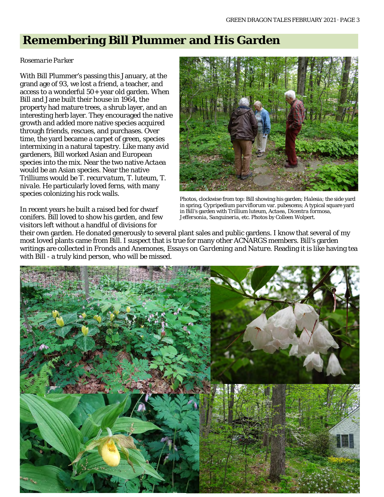### **Remembering Bill Plummer and His Garden**

#### *Rosemarie Parker*

With Bill Plummer's passing this January, at the grand age of 93, we lost a friend, a teacher, and access to a wonderful 50+ year old garden. When Bill and Jane built their house in 1964, the property had mature trees, a shrub layer, and an interesting herb layer. They encouraged the native growth and added more native species acquired through friends, rescues, and purchases. Over time, the yard became a carpet of green, species intermixing in a natural tapestry. Like many avid gardeners, Bill worked Asian and European species into the mix. Near the two native *Actaea* would be an Asian species. Near the native Trilliums would be *T. recurvatum*, *T. luteum*, *T. nivale*. He particularly loved ferns, with many species colonizing his rock walls.



Photos, clockwise from top: Bill showing his garden; *Halesia*; the side yard in spring, *Cypripedium parviflorum* var. *pubescens*; A typical square yard in Bill's garden with *Trillium luteum*, *Actaea*, *Dicentra formosa*, *Jeffersonia*, *Sanguineria*, etc. Photos by Colleen Wolpert.

In recent years he built a raised bed for dwarf conifers. Bill loved to show his garden, and few visitors left without a handful of divisions for

their own garden. He donated generously to several plant sales and public gardens. I know that several of my most loved plants came from Bill. I suspect that is true for many other ACNARGS members. Bill's garden writings are collected in *Fronds and Anemones, Essays on Gardening and Nature*. Reading it is like having tea with Bill - a truly kind person, who will be missed.

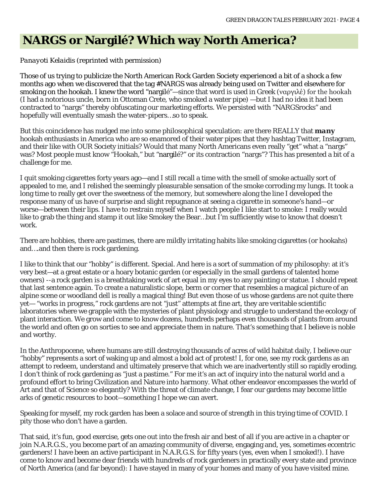# **NARGS or Nargilé? Which way North America?**

### *Panayoti Kelaidis* (reprinted with permission)

Those of us trying to publicize the North American Rock Garden Society experienced a bit of a shock a few months ago when we discovered that the tag #NARGS was already being used on Twitter and elsewhere for smoking on the hookah. I knew the word "nargilé"—since that word is used in Greek (ναργιλέ) for the hookah (I had a notorious uncle, born in Ottoman Crete, who smoked a water pipe) —but I had no idea it had been contracted to "nargs" thereby obfuscating our marketing efforts. We persisted with "NARGSrocks" and hopefully will eventually smash the water-pipers…so to speak.

But this coincidence has nudged me into some philosophical speculation: are there REALLY that *many* hookah enthusiasts in America who are so enamored of their water pipes that they hashtag Twitter, Instagram, and their like with OUR Society initials? Would that many North Americans even really "get" what a "nargs" was? Most people must know "Hookah," but "nargilé?" or its contraction "nargs"? This has presented a bit of a challenge for me.

I quit smoking cigarettes forty years ago—and I still recall a time with the smell of smoke actually sort of appealed to me, and I relished the seemingly pleasurable sensation of the smoke corroding my lungs. It took a long time to really get over the sweetness of the memory, but somewhere along the line I developed the response many of us have of surprise and slight repugnance at seeing a cigarette in someone's hand—or worse—between their lips. I have to restrain myself when I watch people I like start to smoke: I really would like to grab the thing and stamp it out like Smokey the Bear…but I'm sufficiently wise to know that doesn't work.

There are hobbies, there are pastimes, there are mildly irritating habits like smoking cigarettes (or hookahs) and….and then there is rock gardening.

I like to think that our "hobby" is different. Special. And here is a sort of summation of my philosophy: at it's very best—at a great estate or a hoary botanic garden (or especially in the small gardens of talented home owners) --a rock garden is a breathtaking work of art equal in my eyes to any painting or statue. I should repeat that last sentence again. To create a naturalistic slope, berm or corner that resembles a magical picture of an alpine scene or woodland dell is really a magical thing! But even those of us whose gardens are not quite there yet— "works in progress," rock gardens are not "just" attempts at fine art, they are veritable scientific laboratories where we grapple with the mysteries of plant physiology and struggle to understand the ecology of plant interaction. We grow and come to know dozens, hundreds perhaps even thousands of plants from around the world and often go on sorties to see and appreciate them in nature. That's something that I believe is noble and worthy.

In the Anthropocene, where humans are still destroying thousands of acres of wild habitat daily, I believe our "hobby" represents a sort of waking up and almost a bold act of protest! I, for one, see my rock gardens as an attempt to redeem, understand and ultimately preserve that which we are inadvertently still so rapidly eroding. I don't think of rock gardening as "just a pastime." For me it's an act of inquiry into the natural world and a profound effort to bring Civilization and Nature into harmony. What other endeavor encompasses the world of Art and that of Science so elegantly? With the threat of climate change, I fear our gardens may become little arks of genetic resources to boot—something I hope we can avert.

Speaking for myself, my rock garden has been a solace and source of strength in this trying time of COVID. I pity those who don't have a garden.

That said, it's fun, good exercise, gets one out into the fresh air and best of all if you are active in a chapter or join N.A.R.G.S., you become part of an amazing community of diverse, engaging and, yes, sometimes eccentric gardeners! I have been an active participant in N.A.R.G.S. for fifty years (yes, even when I smoked!). I have come to know and become dear friends with hundreds of rock gardeners in practically every state and province of North America (and far beyond): I have stayed in many of your homes and many of you have visited mine.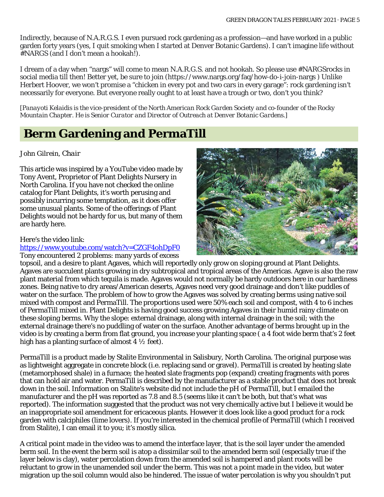Indirectly, because of N.A.R.G.S. I even pursued rock gardening as a profession—and have worked in a public garden forty years (yes, I quit smoking when I started at Denver Botanic Gardens). I can't imagine life without #NARGS (and I don't mean a hookah!).

I dream of a day when "nargs" will come to mean N.A.R.G.S. and not hookah. So please use #NARGSrocks in social media till then! Better yet, be sure to join (https://www.nargs.org/faq/how-do-i-join-nargs ) Unlike Herbert Hoover, we won't promise a "chicken in every pot and two cars in every garage": rock gardening isn't necessarily for everyone. But everyone really ought to at least have a trough or two, don't you think?

[*Panayoti Kelaidis is the vice-president of the North American Rock Garden Society and co-founder of the Rocky Mountain Chapter. He is Senior Curator and Director of Outreach at Denver Botanic Gardens*.]

## **Berm Gardening and PermaTill**

### *John Gilrein, Chair*

This article was inspired by a YouTube video made by Tony Avent, Proprietor of Plant Delights Nursery in North Carolina. If you have not checked the online catalog for Plant Delights, it's worth perusing and possibly incurring some temptation, as it does offer some unusual plants. Some of the offerings of Plant Delights would not be hardy for us, but many of them are hardy here.

#### Here's the video link:

<https://www.youtube.com/watch?v=CZGF4ohDpF0>

Tony encountered 2 problems: many yards of excess



topsoil, and a desire to plant Agaves, which will reportedly only grow on sloping ground at Plant Delights. Agaves are succulent plants growing in dry subtropical and tropical areas of the Americas. Agave is also the raw plant material from which tequila is made. Agaves would not normally be hardy outdoors here in our hardiness zones. Being native to dry areas/American deserts, Agaves need very good drainage and don't like puddles of water on the surface. The problem of how to grow the Agaves was solved by creating berms using native soil mixed with compost and PermaTill. The proportions used were 50% each soil and compost, with 4 to 6 inches of PermaTill mixed in. Plant Delights is having good success growing Agaves in their humid rainy climate on these sloping berms. Why the slope: external drainage, along with internal drainage in the soil; with the external drainage there's no puddling of water on the surface. Another advantage of berms brought up in the video is by creating a berm from flat ground, you increase your planting space ( a 4 foot wide berm that's 2 feet high has a planting surface of almost  $4\frac{1}{2}$  feet).

PermaTill is a product made by Stalite Environmental in Salisbury, North Carolina. The original purpose was as lightweight aggregate in concrete block (i.e. replacing sand or gravel). PermaTill is created by heating slate (metamorphosed shale) in a furnace; the heated slate fragments pop (expand) creating fragments with pores that can hold air and water. PermaTill is described by the manufacturer as a stable product that does not break down in the soil. Information on Stalite's website did not include the pH of PermaTill, but I emailed the manufacturer and the pH was reported as 7.8 and 8.5 (seems like it can't be both, but that's what was reported). The information suggested that the product was not very chemically active but I believe it would be an inappropriate soil amendment for ericaceous plants. However it does look like a good product for a rock garden with calciphiles (lime lovers). If you're interested in the chemical profile of PermaTill (which I received from Stalite), I can email it to you; it's mostly silica.

A critical point made in the video was to amend the interface layer, that is the soil layer under the amended berm soil. In the event the berm soil is atop a dissimilar soil to the amended berm soil (especially true if the layer below is clay), water percolation down from the amended soil is hampered and plant roots will be reluctant to grow in the unamended soil under the berm. This was not a point made in the video, but water migration up the soil column would also be hindered. The issue of water percolation is why you shouldn't put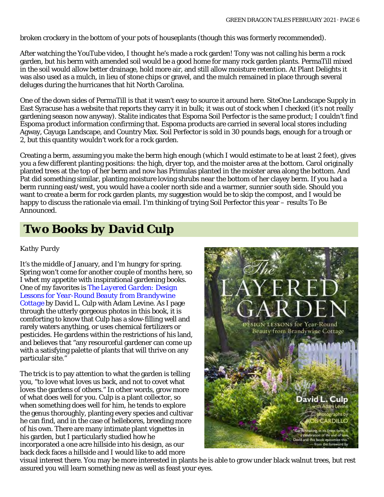broken crockery in the bottom of your pots of houseplants (though this was formerly recommended).

After watching the YouTube video, I thought he's made a rock garden! Tony was not calling his berm a rock garden, but his berm with amended soil would be a good home for many rock garden plants. PermaTill mixed in the soil would allow better drainage, hold more air, and still allow moisture retention. At Plant Delights it was also used as a mulch, in lieu of stone chips or gravel, and the mulch remained in place through several deluges during the hurricanes that hit North Carolina.

One of the down sides of PermaTill is that it wasn't easy to source it around here. SiteOne Landscape Supply in East Syracuse has a website that reports they carry it in bulk; it was out of stock when I checked (it's not really gardening season now anyway). Stalite indicates that Espoma Soil Perfector is the same product; I couldn't find Espoma product information confirming that. Espoma products are carried in several local stores including Agway, Cayuga Landscape, and Country Max. Soil Perfector is sold in 30 pounds bags, enough for a trough or 2, but this quantity wouldn't work for a rock garden.

Creating a berm, assuming you make the berm high enough (which I would estimate to be at least 2 feet), gives you a few different planting positions: the high, dryer top, and the moister area at the bottom. Carol originally planted trees at the top of her berm and now has Primulas planted in the moister area along the bottom. And Pat did something similar, planting moisture loving shrubs near the bottom of her clayey berm. If you had a berm running east/west, you would have a cooler north side and a warmer, sunnier south side. Should you want to create a berm for rock garden plants, my suggestion would be to skip the compost, and I would be happy to discuss the rationale via email. I'm thinking of trying Soil Perfector this year – results To Be Announced.

# *Two Books by David Culp*

### *Kathy Purdy*

It's the middle of January, and I'm hungry for spring. Spring won't come for another couple of months here, so I whet my appetite with inspirational gardening books. One of my favorites is *[The Layered Garden: Design](https://amzn.to/39ifOJd)  [Lessons for Year-Round Beauty from Brandywine](https://amzn.to/39ifOJd)  [Cottage](https://amzn.to/39ifOJd)* by David L. Culp with Adam Levine. As I page through the utterly gorgeous photos in this book, it is comforting to know that Culp has a slow-filling well and rarely waters anything, or uses chemical fertilizers or pesticides. He gardens within the restrictions of his land, and believes that "any resourceful gardener can come up with a satisfying palette of plants that will thrive on any particular site."

The trick is to pay attention to what the garden is telling you, "to love what loves us back, and not to covet what loves the gardens of others." In other words, grow more of what does well for you. Culp is a plant collector, so when something does well for him, he tends to explore the genus thoroughly, planting every species and cultivar he can find, and in the case of hellebores, breeding more of his own. There are many intimate plant vignettes in his garden, but I particularly studied how he incorporated a one acre hillside into his design, as our back deck faces a hillside and I would like to add more



visual interest there. You may be more interested in plants he is able to grow under black walnut trees, but rest assured you will learn something new as well as feast your eyes.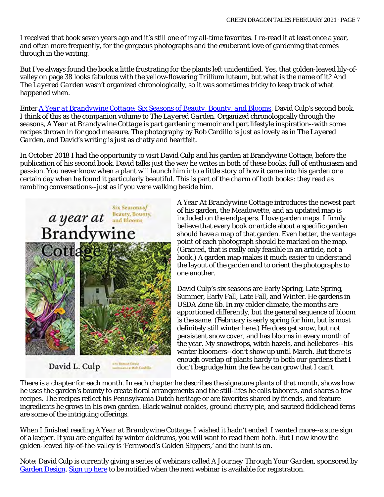I received that book seven years ago and it's still one of my all-time favorites. I re-read it at least once a year, and often more frequently, for the gorgeous photographs and the exuberant love of gardening that comes through in the writing.

But I've always found the book a little frustrating for the plants left unidentified. Yes, that golden-leaved lily-ofvalley on page 38 looks fabulous with the yellow-flowering *Trillium luteum*, but what *is* the name of it? And *The Layered Garden* wasn't organized chronologically, so it was sometimes tricky to keep track of what happened when.

Enter *[A Year at Brandywine Cottage: Six Seasons of Beauty, Bounty, and Blooms](https://amzn.to/3sMD2yV)*, David Culp's second book. I think of this as the companion volume to *The Layered Garden*. Organized chronologically through the seasons, *A Year at Brandywine Cottage* is part gardening memoir and part lifestyle inspiration--with some recipes thrown in for good measure. The photography by Rob Cardillo is just as lovely as in *The Layered Garden*, and David's writing is just as chatty and heartfelt.

In October 2018 I had the opportunity to visit David Culp and his garden at Brandywine Cottage, before the publication of his second book. David talks just the way he writes in both of these books, full of enthusiasm and passion. You never know when a plant will launch him into a little story of how it came into his garden or a certain day when he found it particularly beautiful. This is part of the charm of both books: they read as rambling conversations--just as if you were walking beside him.



ana Donant Cowie<br>Juan Lians in Bab Cambilla David L. Culp

*A Year At Brandywine Cottage* introduces the newest part of his garden, the Meadowette, and an updated map is included on the endpapers. I love garden maps. I firmly believe that every book or article about a specific garden should have a map of that garden. Even better, the vantage point of each photograph should be marked on the map. (Granted, that is really only feasible in an article, not a book.) A garden map makes it much easier to understand the layout of the garden and to orient the photographs to one another.

David Culp's six seasons are Early Spring, Late Spring, Summer, Early Fall, Late Fall, and Winter. He gardens in USDA Zone 6b. In my colder climate, the months are apportioned differently, but the general sequence of bloom is the same. (February is early spring for him, but is most definitely still winter here.) He does get snow, but not persistent snow cover, and has blooms in every month of the year. My snowdrops, witch hazels, and hellebores--his winter bloomers--don't show up until March. But there is enough overlap of plants hardy to both our gardens that I don't begrudge him the few he can grow that I can't.

There is a chapter for each month. In each chapter he describes the signature plants of that month, shows how he uses the garden's bounty to create floral arrangements and the still-lifes he calls taborets, and shares a few recipes. The recipes reflect his Pennsylvania Dutch heritage or are favorites shared by friends, and feature ingredients he grows in his own garden. Black walnut cookies, ground cherry pie, and sauteed fiddlehead ferns are some of the intriguing offerings.

When I finished reading *A Year at Brandywine Cottage*, I wished it hadn't ended. I wanted more--a sure sign of a keeper. If you are engulfed by winter doldrums, you will want to read them both. But I now know the golden-leaved lily-of-the-valley is 'Fernwood's Golden Slippers,' and the hunt is on.

Note: David Culp is currently giving a series of webinars called *A Journey Through Your Garden*, sponsored by [Garden Design.](https://www.gardendesign.com/classes/) [Sign up here](https://www.gardendesign.com/classes/webinar-sign-up.html) to be notified when the next webinar is available for registration.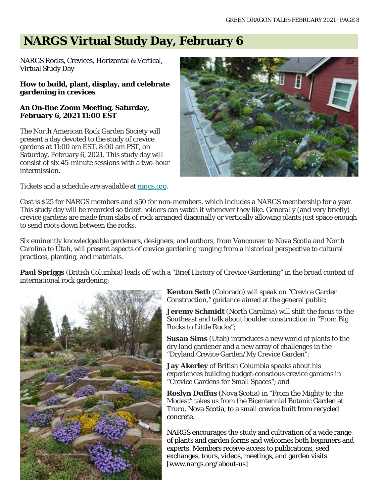# **NARGS Virtual Study Day, February 6**

NARGS Rocks, Crevices, Horizontal & Vertical, Virtual Study Day

#### **How to build, plant, display, and celebrate gardening in crevices**

### **An On-line Zoom Meeting, Saturday, February 6, 2021 11:00 EST**

The North American Rock Garden Society will present a day devoted to the study of crevice gardens at 11:00 am EST, 8:00 am PST, on Saturday, February 6, 2021. This study day will consist of six 45-minute sessions with a two-hour intermission.

Tickets and a schedule are available at [nargs.org.](https://nargs.us19.list-manage.com/track/click?u=e4d4e7fcd9986a04ba0acf85a&id=47edddb5dd&e=f488b7c2bf)



Cost is \$25 for NARGS members and \$50 for non-members, which includes a NARGS membership for a year. This study day will be recorded so ticket holders can watch it whenever they like. Generally (and very briefly) crevice gardens are made from slabs of rock arranged diagonally or vertically allowing plants just space enough to send roots down between the rocks.

Six eminently knowledgeable gardeners, designers, and authors, from Vancouver to Nova Scotia and North Carolina to Utah, will present aspects of crevice gardening ranging from a historical perspective to cultural practices, planting, and materials.

**Paul Spriggs** (British Columbia) leads off with a "Brief History of Crevice Gardening" in the broad context of international rock gardening;



**Kenton Seth** (Colorado) will speak on "Crevice Garden Construction," guidance aimed at the general public;

**Jeremy Schmidt** (North Carolina) will shift the focus to the Southeast and talk about boulder construction in "From Big Rocks to Little Rocks";

**Susan Sims** (Utah) introduces a new world of plants to the dry land gardener and a new array of challenges in the "Dryland Crevice Garden/My Crevice Garden";

**Jay Akerley** of British Columbia speaks about his experiences building budget-conscious crevice gardens in "Crevice Gardens for Small Spaces"; and

**Roslyn Duffus** (Nova Scotia) in "From the Mighty to the Modest" takes us from the Bicentennial Botanic Garden at Truro, Nova Scotia, to a small crevice built from recycled concrete.

NARGS encourages the study and cultivation of a wide range of plants and garden forms and welcomes both beginners and experts. Members receive access to publications, seed exchanges, tours, videos, meetings, and garden visits. [\[www.nargs.org/about-us\]](https://nargs.us19.list-manage.com/track/click?u=e4d4e7fcd9986a04ba0acf85a&id=f12432eb59&e=f488b7c2bf)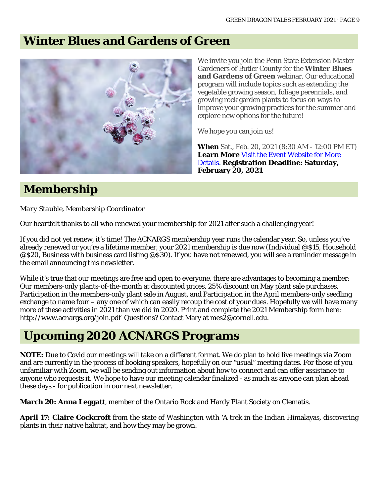## **Winter Blues and Gardens of Green**



**Membership**

*Mary Stauble, Membership Coordinator*

Our heartfelt thanks to all who renewed your membership for 2021 after such a challenging year!

If you did not yet renew, it's time! The ACNARGS membership year runs the calendar year. So, unless you've already renewed or you're a lifetime member, your 2021 membership is due now (Individual @\$15, Household @\$20, Business with business card listing @\$30). If you have not renewed, you will see a reminder message in the email announcing this newsletter.

While it's true that our meetings are free and open to everyone, there are advantages to becoming a member: Our members-only plants-of-the-month at discounted prices, 25% discount on May plant sale purchases, Participation in the members-only plant sale in August, and Participation in the April members-only seedling exchange to name four – any one of which can easily recoup the cost of your dues. Hopefully we will have many more of these activities in 2021 than we did in 2020. Print and complete the 2021 Membership form here: http://www.acnargs.org/join.pdf Questions? Contact Mary at mes2@cornell.edu.

## **Upcoming 2020 ACNARGS Programs**

**NOTE:** Due to Covid our meetings will take on a different format. We do plan to hold live meetings via Zoom and are currently in the process of booking speakers, hopefully on our "usual" meeting dates. For those of you unfamiliar with Zoom, we will be sending out information about how to connect and can offer assistance to anyone who requests it. We hope to have our meeting calendar finalized - as much as anyone can plan ahead these days - for publication in our next newsletter.

**March 20: Anna Leggatt**, member of the Ontario Rock and Hardy Plant Society on Clematis.

**April 17: Claire Cockcroft** from the state of Washington with 'A trek in the Indian Himalayas, discovering plants in their native habitat, and how they may be grown.

We invite you join the Penn State Extension Master Gardeners of Butler County for the **Winter Blues and Gardens of Green** webinar. Our educational program will include topics such as extending the vegetable growing season, foliage perennials, and growing rock garden plants to focus on ways to improve your growing practices for the summer and explore new options for the future!

We hope you can join us!

**When** Sat., Feb. 20, 2021 (8:30 AM - 12:00 PM ET) Learn More Visit the Event Website for More [Details.](https://www.cvent.com/api/email/dispatch/v1/click/q49r8wj8lrf85b/k5kg8zb5/aHR0cCUzQSUyRiUyRnd3dy5jdmVudC5jb20lMkZkJTJGdEIwcEVucGhYMGk2ZWZnOHpaSHl6ZyUyRjBudm4lMkZQMSZhZno3U0pwNHNldVFrV2kyMFhGJTJGWmVkcUdqM0U1S1VIODlFNEZ5RiUyRmRhbyUzRCZWaXNpdCt0aGUrRXZlbnQrV2Vic2l0ZStmb3IrTW9yZStEZXRhaWxz) **Registration Deadline: Saturday, February 20, 2021**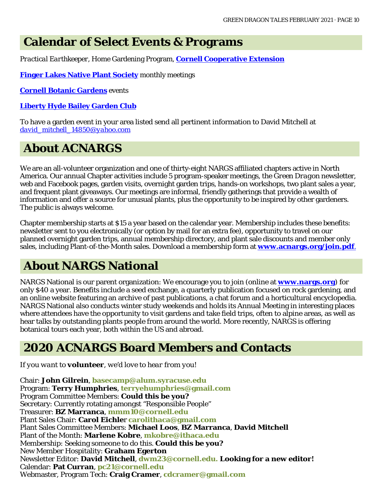### **Calendar of Select Events & Programs**

*Practical Earthkeeper*, Home Gardening Program, **[Cornell Cooperative Extension](http://ccetompkins.org/gardening/practical-earthkeeper)**

**[Finger Lakes Native Plant Society](http://ccetompkins.org/gardening/practical-earthkeeper)** monthly meetings

**[Cornell Botanic Gardens](https://cornellbotanicgardens.org/explore/events/)** events

### **[Liberty Hyde Bailey Garden Club](http://www.hort.cornell.edu/LHBGC/)**

To have a garden event in your area listed send all pertinent information to David Mitchell at *[david\\_mitchell\\_14850@yahoo.com](mailto:david_mitchell_14850@yahoo.com)*

## **About ACNARGS**

We are an all-volunteer organization and one of thirty-eight NARGS affiliated chapters active in North America. Our annual Chapter activities include 5 program-speaker meetings, the *Green Dragon* newsletter, web and Facebook pages, garden visits, overnight garden trips, hands-on workshops, two plant sales a year, and frequent plant giveaways. Our meetings are informal, friendly gatherings that provide a wealth of information and offer a source for unusual plants, plus the opportunity to be inspired by other gardeners. The public is always welcome.

Chapter membership starts at \$15 a year based on the calendar year. Membership includes these benefits: newsletter sent to you electronically (or option by mail for an extra fee), opportunity to travel on our planned overnight garden trips, annual membership directory, and plant sale discounts and member only sales, including Plant-of-the-Month sales. Download a membership form at **[www.acnargs.org/join.pdf](http://www.acnargs.org/join.pdf.)**.

# **About NARGS National**

NARGS National is our parent organization: We encourage you to join (online at **www.nargs.org**) for only \$40 a year. Benefits include a seed exchange, a quarterly publication focused on rock gardening, and an online website featuring an archive of past publications, a chat forum and a horticultural encyclopedia. NARGS National also conducts winter study weekends and holds its Annual Meeting in interesting places where attendees have the opportunity to visit gardens and take field trips, often to alpine areas, as well as hear talks by outstanding plants people from around the world. More recently, NARGS is offering botanical tours each year, both within the US and abroad.

### **2020 ACNARGS Board Members and Contacts**

*If you want to volunteer, we'd love to hear from you!*

Chair: **John Gilrein**, **[basecamp@alum.syracuse.edu](mailto:basecamp@alum.syracuse.edu)**  Program: **Terry Humphries**, **[terryehumphries@gmail.com](mailto:terryehumphries@gmail.com)**  Program Committee Members: **Could this be you?** Secretary: Currently rotating amongst "Responsible People" Treasurer: **BZ Marranca**, **[mmm10@cornell.edu](mailto:mmm10@cornell.edu)** Plant Sales Chair: **Carol Eichle**r **[carolithaca@gmail.com](mailto:carolithaca@gmail.com)**  Plant Sales Committee Members: **Michael Loos**, **BZ Marranca**, **David Mitchell** Plant of the Month: **Marlene Kobre**, **[mkobre@ithaca.edu](mailto:mkobre@ithaca.edu)** Membership: Seeking someone to do this. **Could this be you?** New Member Hospitality: **Graham Egerton** Newsletter Editor: **David Mitchell**, **[dwm23@cornell.edu. L](mailto:dwm23@cornell.edu)ooking for a new editor!** Calendar: **Pat Curran**, **[pc21@cornell.edu](mailto:pc21@cornell.edu)** Webmaster, Program Tech: **Craig Cramer**, **[cdcramer@gmail.com](mailto:cdcramer@gmail.com)**